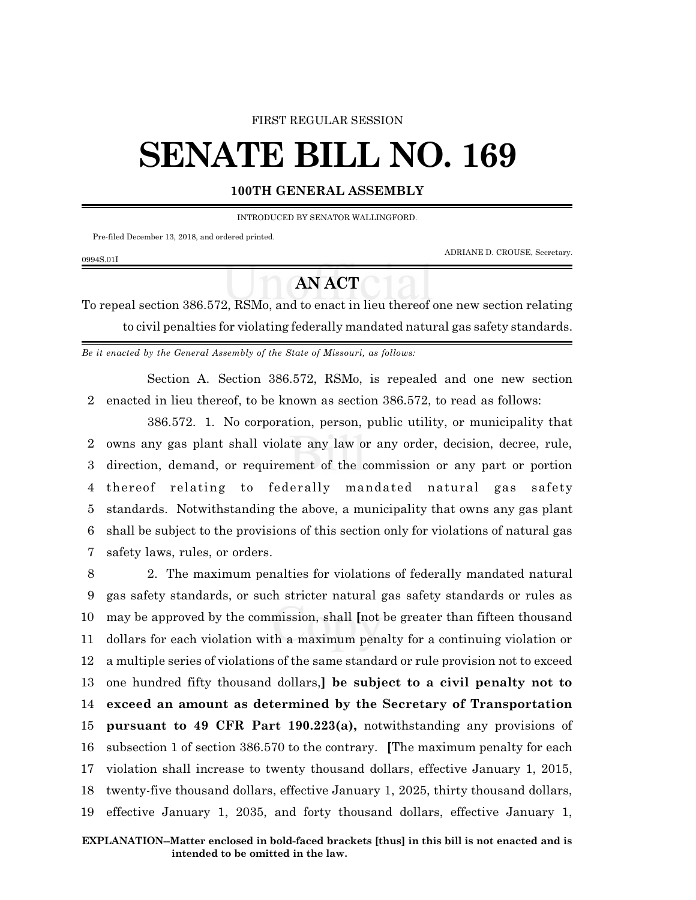### FIRST REGULAR SESSION

# **SENATE BILL NO. 169**

## **100TH GENERAL ASSEMBLY**

INTRODUCED BY SENATOR WALLINGFORD.

Pre-filed December 13, 2018, and ordered printed.

ADRIANE D. CROUSE, Secretary.

#### 0994S.01I

# **AN ACT**

To repeal section 386.572, RSMo, and to enact in lieu thereof one new section relating to civil penalties for violating federally mandated natural gas safety standards.

*Be it enacted by the General Assembly of the State of Missouri, as follows:*

Section A. Section 386.572, RSMo, is repealed and one new section 2 enacted in lieu thereof, to be known as section 386.572, to read as follows:

386.572. 1. No corporation, person, public utility, or municipality that owns any gas plant shall violate any law or any order, decision, decree, rule, direction, demand, or requirement of the commission or any part or portion thereof relating to federally mandated natural gas safety standards. Notwithstanding the above, a municipality that owns any gas plant shall be subject to the provisions of this section only for violations of natural gas safety laws, rules, or orders.

 2. The maximum penalties for violations of federally mandated natural gas safety standards, or such stricter natural gas safety standards or rules as may be approved by the commission, shall **[**not be greater than fifteen thousand dollars for each violation with a maximum penalty for a continuing violation or a multiple series of violations of the same standard or rule provision not to exceed one hundred fifty thousand dollars,**] be subject to a civil penalty not to exceed an amount as determined by the Secretary of Transportation pursuant to 49 CFR Part 190.223(a),** notwithstanding any provisions of subsection 1 of section 386.570 to the contrary. **[**The maximum penalty for each violation shall increase to twenty thousand dollars, effective January 1, 2015, twenty-five thousand dollars, effective January 1, 2025, thirty thousand dollars, effective January 1, 2035, and forty thousand dollars, effective January 1,